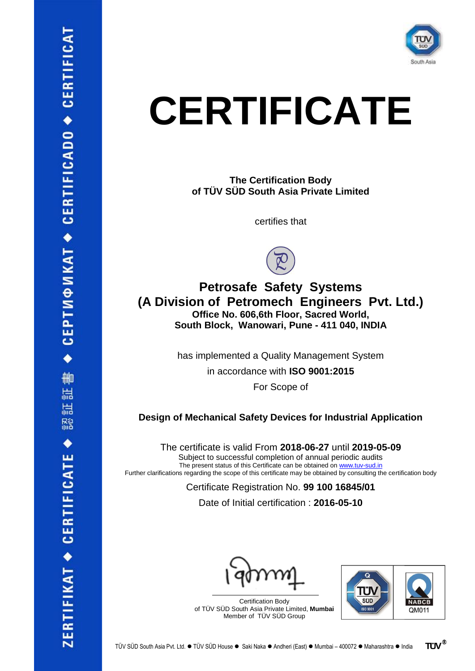

## **CERTIFICATE**

**The Certification Body of TÜV SÜD South Asia Private Limited**

certifies that



## **Petrosafe Safety Systems (A Division of Petromech Engineers Pvt. Ltd.) Office No. 606,6th Floor, Sacred World, South Block, Wanowari, Pune - 411 040, INDIA**

has implemented a Quality Management System

in accordance with **ISO 9001:2015**

For Scope of

**Design of Mechanical Safety Devices for Industrial Application**

The certificate is valid From **2018-06-27** until **2019-05-09** Subject to successful completion of annual periodic audits The present status of this Certificate can be obtained on [www.tuv-sud.in](http://www.tuv-sud.in/) Further clarifications regarding the scope of this certificate may be obtained by consulting the certification body

Certificate Registration No. **99 100 16845/01**

Date of Initial certification : **2016-05-10**